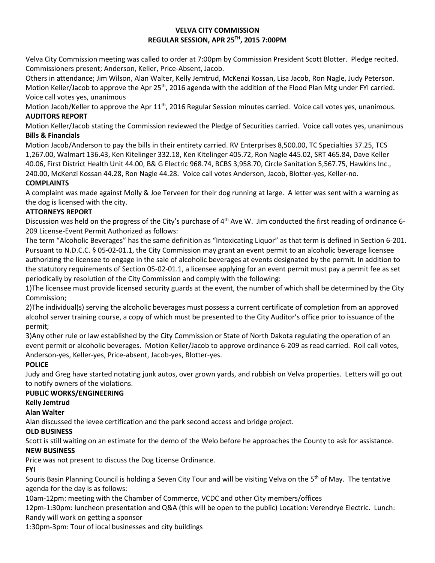#### **VELVA CITY COMMISSION REGULAR SESSION, APR 25TH, 2015 7:00PM**

Velva City Commission meeting was called to order at 7:00pm by Commission President Scott Blotter. Pledge recited. Commissioners present; Anderson, Keller, Price-Absent, Jacob.

Others in attendance; Jim Wilson, Alan Walter, Kelly Jemtrud, McKenzi Kossan, Lisa Jacob, Ron Nagle, Judy Peterson. Motion Keller/Jacob to approve the Apr 25<sup>th</sup>, 2016 agenda with the addition of the Flood Plan Mtg under FYI carried. Voice call votes yes, unanimous

Motion Jacob/Keller to approve the Apr  $11<sup>th</sup>$ , 2016 Regular Session minutes carried. Voice call votes yes, unanimous. **AUDITORS REPORT**

Motion Keller/Jacob stating the Commission reviewed the Pledge of Securities carried. Voice call votes yes, unanimous **Bills & Financials**

Motion Jacob/Anderson to pay the bills in their entirety carried. RV Enterprises 8,500.00, TC Specialties 37.25, TCS 1,267.00, Walmart 136.43, Ken Kitelinger 332.18, Ken Kitelinger 405.72, Ron Nagle 445.02, SRT 465.84, Dave Keller 40.06, First District Health Unit 44.00, B& G Electric 968.74, BCBS 3,958.70, Circle Sanitation 5,567.75, Hawkins Inc., 240.00, McKenzi Kossan 44.28, Ron Nagle 44.28. Voice call votes Anderson, Jacob, Blotter-yes, Keller-no.

### **COMPLAINTS**

A complaint was made against Molly & Joe Terveen for their dog running at large. A letter was sent with a warning as the dog is licensed with the city.

### **ATTORNEYS REPORT**

Discussion was held on the progress of the City's purchase of 4th Ave W. Jim conducted the first reading of ordinance 6- 209 License-Event Permit Authorized as follows:

The term "Alcoholic Beverages" has the same definition as "Intoxicating Liquor" as that term is defined in Section 6-201. Pursuant to N.D.C.C. § 05-02-01.1, the City Commission may grant an event permit to an alcoholic beverage licensee authorizing the licensee to engage in the sale of alcoholic beverages at events designated by the permit. In addition to the statutory requirements of Section 05-02-01.1, a licensee applying for an event permit must pay a permit fee as set periodically by resolution of the City Commission and comply with the following:

1)The licensee must provide licensed security guards at the event, the number of which shall be determined by the City Commission;

2)The individual(s) serving the alcoholic beverages must possess a current certificate of completion from an approved alcohol server training course, a copy of which must be presented to the City Auditor's office prior to issuance of the permit;

3)Any other rule or law established by the City Commission or State of North Dakota regulating the operation of an event permit or alcoholic beverages. Motion Keller/Jacob to approve ordinance 6-209 as read carried. Roll call votes, Anderson-yes, Keller-yes, Price-absent, Jacob-yes, Blotter-yes.

# **POLICE**

Judy and Greg have started notating junk autos, over grown yards, and rubbish on Velva properties. Letters will go out to notify owners of the violations.

#### **PUBLIC WORKS/ENGINEERING**

# **Kelly Jemtrud**

**Alan Walter**

Alan discussed the levee certification and the park second access and bridge project.

# **OLD BUSINESS**

Scott is still waiting on an estimate for the demo of the Welo before he approaches the County to ask for assistance.

# **NEW BUSINESS**

Price was not present to discuss the Dog License Ordinance.

# **FYI**

Souris Basin Planning Council is holding a Seven City Tour and will be visiting Velva on the 5<sup>th</sup> of May. The tentative agenda for the day is as follows:

10am-12pm: meeting with the Chamber of Commerce, VCDC and other City members/offices

12pm-1:30pm: luncheon presentation and Q&A (this will be open to the public) Location: Verendrye Electric. Lunch: Randy will work on getting a sponsor

1:30pm-3pm: Tour of local businesses and city buildings